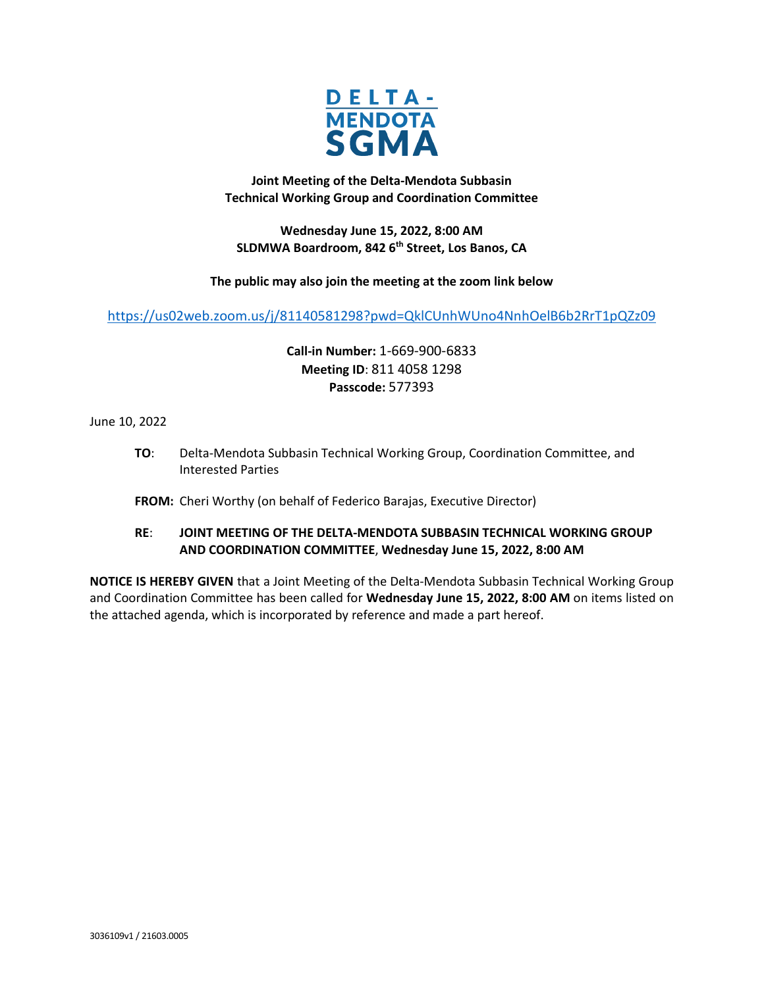

**Joint Meeting of the Delta-Mendota Subbasin Technical Working Group and Coordination Committee** 

**Wednesday June 15, 2022, 8:00 AM SLDMWA Boardroom, 842 6th Street, Los Banos, CA**

**The public may also join the meeting at the zoom link below**

<https://us02web.zoom.us/j/81140581298?pwd=QklCUnhWUno4NnhOelB6b2RrT1pQZz09>

**Call-in Number:** 1-669-900-6833 **Meeting ID**: 811 4058 1298 **Passcode:** 577393

June 10, 2022

**TO**: Delta-Mendota Subbasin Technical Working Group, Coordination Committee, and Interested Parties

**FROM:** Cheri Worthy (on behalf of Federico Barajas, Executive Director)

# **RE**: **JOINT MEETING OF THE DELTA-MENDOTA SUBBASIN TECHNICAL WORKING GROUP AND COORDINATION COMMITTEE**, **Wednesday June 15, 2022, 8:00 AM**

**NOTICE IS HEREBY GIVEN** that a Joint Meeting of the Delta-Mendota Subbasin Technical Working Group and Coordination Committee has been called for **Wednesday June 15, 2022, 8:00 AM** on items listed on the attached agenda, which is incorporated by reference and made a part hereof.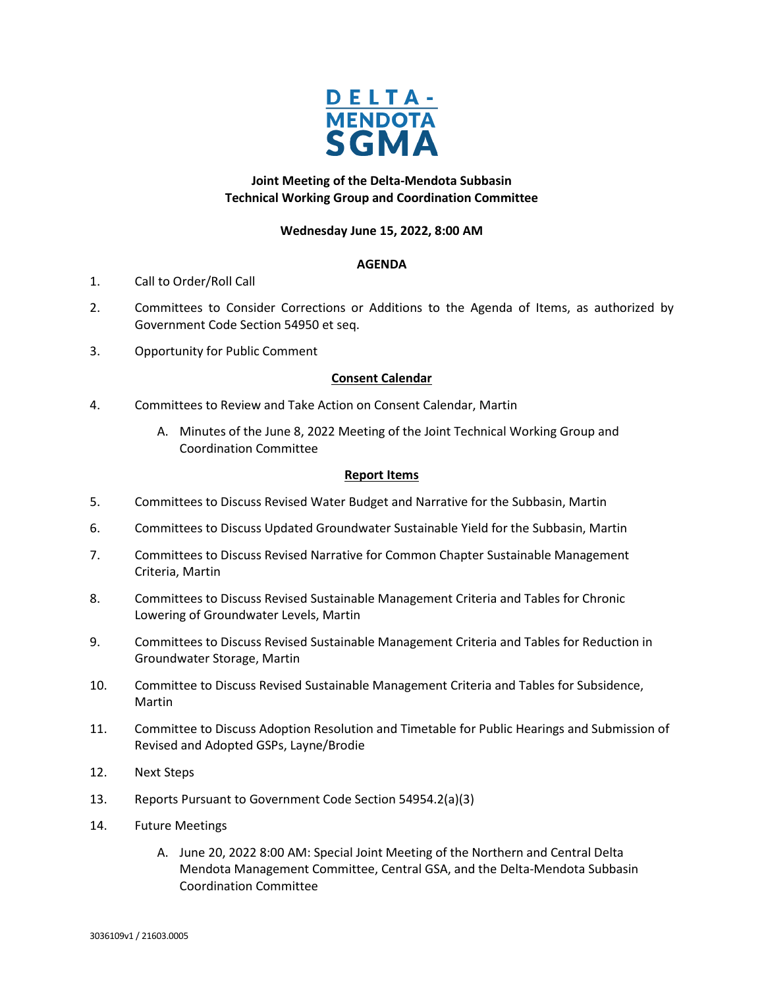

# **Joint Meeting of the Delta-Mendota Subbasin Technical Working Group and Coordination Committee**

### **Wednesday June 15, 2022, 8:00 AM**

### **AGENDA**

- 1. Call to Order/Roll Call
- 2. Committees to Consider Corrections or Additions to the Agenda of Items, as authorized by Government Code Section 54950 et seq.
- 3. Opportunity for Public Comment

## **Consent Calendar**

- 4. Committees to Review and Take Action on Consent Calendar, Martin
	- A. Minutes of the June 8, 2022 Meeting of the Joint Technical Working Group and Coordination Committee

#### **Report Items**

- 5. Committees to Discuss Revised Water Budget and Narrative for the Subbasin, Martin
- 6. Committees to Discuss Updated Groundwater Sustainable Yield for the Subbasin, Martin
- 7. Committees to Discuss Revised Narrative for Common Chapter Sustainable Management Criteria, Martin
- 8. Committees to Discuss Revised Sustainable Management Criteria and Tables for Chronic Lowering of Groundwater Levels, Martin
- 9. Committees to Discuss Revised Sustainable Management Criteria and Tables for Reduction in Groundwater Storage, Martin
- 10. Committee to Discuss Revised Sustainable Management Criteria and Tables for Subsidence, Martin
- 11. Committee to Discuss Adoption Resolution and Timetable for Public Hearings and Submission of Revised and Adopted GSPs, Layne/Brodie
- 12. Next Steps
- 13. Reports Pursuant to Government Code Section 54954.2(a)(3)
- 14. Future Meetings
	- A. June 20, 2022 8:00 AM: Special Joint Meeting of the Northern and Central Delta Mendota Management Committee, Central GSA, and the Delta-Mendota Subbasin Coordination Committee